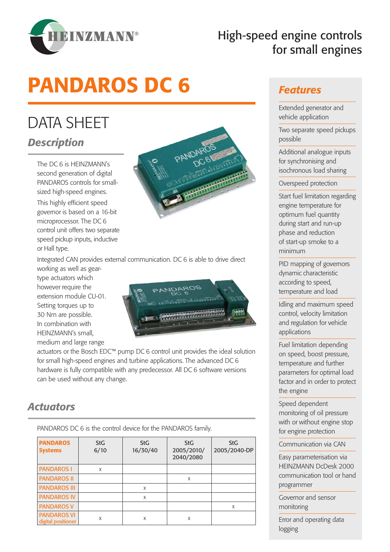

# High-speed engine controls for small engines

# PANDAROS DC 6

# DATA SHEET *Description*

The DC 6 is HEINZMANN's second generation of digital PANDAROS controls for smallsized high-speed engines.

This highly efficient speed governor is based on a 16-bit microprocessor. The DC 6 control unit offers two separate speed pickup inputs, inductive or Hall type.



Integrated CAN provides external communication. DC 6 is able to drive direct

working as well as geartype actuators which however require the extension module CU-01. Setting torques up to 30 Nm are possible. In combination with HEINZMANN's small, medium and large range



actuators or the Bosch EDC™ pump DC 6 control unit provides the ideal solution for small high-speed engines and turbine applications. The advanced DC 6 hardware is fully compatible with any predecessor. All DC 6 software versions can be used without any change.

### *Actuators*

PANDAROS DC 6 is the control device for the PANDAROS family.

| <b>PANDAROS</b><br><b>Systems</b>        | <b>StG</b><br>6/10 | <b>StG</b><br>16/30/40 | <b>StG</b><br>2005/2010/<br>2040/2080 | <b>StG</b><br>2005/2040-DP |
|------------------------------------------|--------------------|------------------------|---------------------------------------|----------------------------|
| <b>PANDAROS I</b>                        | X                  |                        |                                       |                            |
| <b>PANDAROS II</b>                       |                    |                        | X                                     |                            |
| <b>PANDAROS III</b>                      |                    | X                      |                                       |                            |
| <b>PANDAROS IV</b>                       |                    | X                      |                                       |                            |
| <b>PANDAROS V</b>                        |                    |                        |                                       | X                          |
| <b>PANDAROS VI</b><br>digital positioner | X                  | X                      | X                                     |                            |

#### *Features*

Extended generator and vehicle application

Two separate speed pickups possible

Additional analogue inputs for synchronising and isochronous load sharing

Overspeed protection

Start fuel limitation regarding engine temperature for optimum fuel quantity during start and run-up phase and reduction of start-up smoke to a minimum

PID mapping of governors dynamic characteristic according to speed, temperature and load

Idling and maximum speed control, velocity limitation and regulation for vehicle applications

Fuel limitation depending on speed, boost pressure, temperature and further parameters for optimal load factor and in order to protect the engine

Speed dependent monitoring of oil pressure with or without engine stop for engine protection

Communication via CAN

Easy parameterisation via HEINZMANN DcDesk 2000 communication tool or hand programmer

Governor and sensor monitoring

Error and operating data logging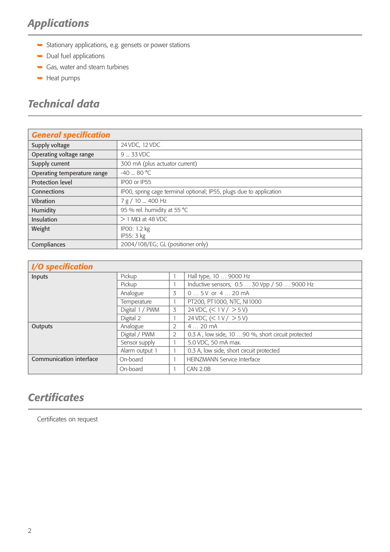# *Applications*

- $\blacktriangleright$  Stationary applications, e.g. gensets or power stations
- $\rightarrow$  Dual fuel applications
- $\rightarrow$  Gas, water and steam turbines
- $\rightarrow$  Heat pumps

# *Technical data*

| <b>General specification</b>            |                                                                     |  |  |  |
|-----------------------------------------|---------------------------------------------------------------------|--|--|--|
| Supply voltage                          | 24 VDC, 12 VDC                                                      |  |  |  |
| Operating voltage range                 | 9  33 VDC                                                           |  |  |  |
| Supply current                          | 300 mA (plus actuator current)                                      |  |  |  |
| Operating temperature range             | $-40 - 80$ °C                                                       |  |  |  |
| <b>Protection level</b><br>IPOO or IP55 |                                                                     |  |  |  |
| Connections                             | IPOO, spring cage terminal optional; IP55, plugs due to application |  |  |  |
| Vibration                               | 7 g / 10  400 Hz                                                    |  |  |  |
| Humidity                                | 95 % rel. humidity at 55 °C                                         |  |  |  |
| Insulation                              | $> 1$ M $\Omega$ at 48 VDC                                          |  |  |  |
| Weight                                  | IP00: 1.2 kg<br>IP55: 3 kg                                          |  |  |  |
| Compliances                             | 2004/108/EG; GL (positioner only)                                   |  |  |  |

| <i><b>I/O specification</b></i> |
|---------------------------------|
|                                 |

| I/ V SPECINCULION       |                 |   |                                                   |
|-------------------------|-----------------|---|---------------------------------------------------|
| Inputs                  | Pickup          |   | Hall type, 10  9000 Hz                            |
|                         | Pickup          |   | Inductive sensors, 0.5  30 Vpp / 50  9000 Hz      |
|                         | Analogue        | 3 | $05V$ or $420$ mA                                 |
|                         | Temperature     |   | PT200, PT1000, NTC, NI1000                        |
|                         | Digital 1 / PWM | 3 | 24 VDC, $(< 1 V / > 5 V)$                         |
|                         | Digital 2       |   | 24 VDC, $(< 1 V / > 5 V)$                         |
| Outputs                 | Analogue        | 2 | 420mA                                             |
|                         | Digital / PWM   | 2 | 0.3 A, low side, 10 90 %, short circuit protected |
|                         | Sensor supply   |   | 5.0 VDC, 50 mA max.                               |
|                         | Alarm output 1  |   | 0.3 A, low side, short circuit protected          |
| Communication interface | On-board        |   | <b>HEINZMANN Service Interface</b>                |
|                         | On-board        |   | <b>CAN 2.0B</b>                                   |

# *Certificates*

Certificates on request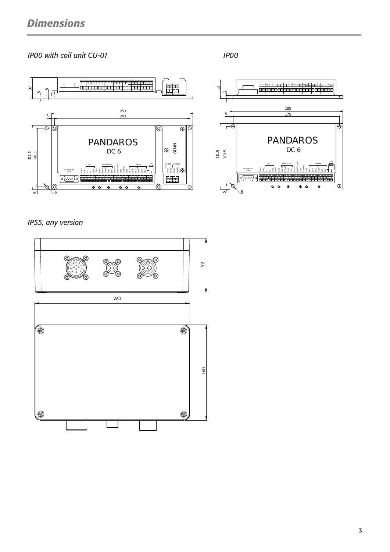#### *IP00 with coil unit CU-01 IP00*





*IP55, any version*